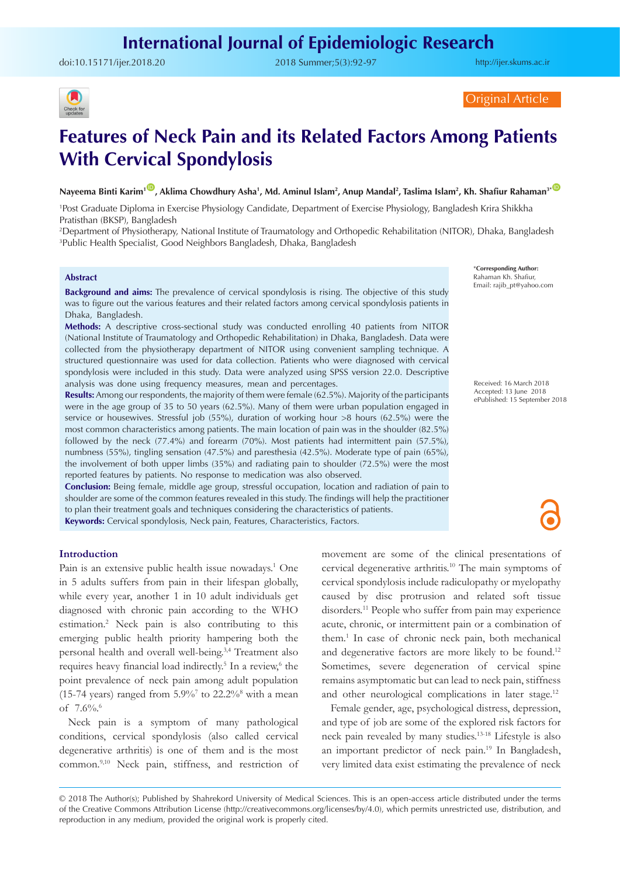doi:[10.15171/ijer.2018.20](https://doi.org/10.15171/ijer.2018.20) 2018 Summer;5(3):92-97

<http://ijer.skums.ac.ir>



Original Article

# **Features of Neck Pain and its Related Factors Among Patients With Cervical Spondylosis**

Nayeema Binti Karim<sup>100</sup>, Aklima Chowdhury Asha<sup>1</sup>, Md. Aminul Islam<sup>2</sup>, Anup Mandal<sup>2</sup>, Taslima Islam<sup>2</sup>, Kh. Shafiur Rahaman<sup>3\* C</sup>

1 Post Graduate Diploma in Exercise Physiology Candidate, Department of Exercise Physiology, Bangladesh Krira Shikkha Pratisthan (BKSP), Bangladesh

2 Department of Physiotherapy, National Institute of Traumatology and Orthopedic Rehabilitation (NITOR), Dhaka, Bangladesh 3 Public Health Specialist, Good Neighbors Bangladesh, Dhaka, Bangladesh

#### **Abstract**

**Background and aims:** The prevalence of cervical spondylosis is rising. The objective of this study was to figure out the various features and their related factors among cervical spondylosis patients in Dhaka, Bangladesh.

**Methods:** A descriptive cross-sectional study was conducted enrolling 40 patients from NITOR (National Institute of Traumatology and Orthopedic Rehabilitation) in Dhaka, Bangladesh. Data were collected from the physiotherapy department of NITOR using convenient sampling technique. A structured questionnaire was used for data collection. Patients who were diagnosed with cervical spondylosis were included in this study. Data were analyzed using SPSS version 22.0. Descriptive analysis was done using frequency measures, mean and percentages.

**Results:** Among our respondents, the majority of them were female (62.5%). Majority of the participants were in the age group of 35 to 50 years (62.5%). Many of them were urban population engaged in service or housewives. Stressful job (55%), duration of working hour >8 hours (62.5%) were the most common characteristics among patients. The main location of pain was in the shoulder (82.5%) followed by the neck (77.4%) and forearm (70%). Most patients had intermittent pain (57.5%), numbness (55%), tingling sensation (47.5%) and paresthesia (42.5%). Moderate type of pain (65%), the involvement of both upper limbs (35%) and radiating pain to shoulder (72.5%) were the most reported features by patients. No response to medication was also observed.

**Conclusion:** Being female, middle age group, stressful occupation, location and radiation of pain to shoulder are some of the common features revealed in this study. The findings will help the practitioner to plan their treatment goals and techniques considering the characteristics of patients. **Keywords:** Cervical spondylosis, Neck pain, Features, Characteristics, Factors.

\***Corresponding Author:** Rahaman Kh. Shafiur, Email: rajib\_pt@yahoo.com

Received: 16 March 2018 Accepted: 13 June 2018 ePublished: 15 September 2018

#### **Introduction**

Pain is an extensive public health issue nowadays.<sup>1</sup> One in 5 adults suffers from pain in their lifespan globally, while every year, another 1 in 10 adult individuals get diagnosed with chronic pain according to the WHO estimation.2 Neck pain is also contributing to this emerging public health priority hampering both the personal health and overall well-being.3,4 Treatment also requires heavy financial load indirectly.<sup>5</sup> In a review,<sup>6</sup> the point prevalence of neck pain among adult population (15-74 years) ranged from  $5.9\%$ <sup>7</sup> to  $22.2\%$ <sup>8</sup> with a mean of 7.6%.6

Neck pain is a symptom of many pathological conditions, cervical spondylosis (also called cervical degenerative arthritis) is one of them and is the most common.9,10 Neck pain, stiffness, and restriction of movement are some of the clinical presentations of cervical degenerative arthritis.10 The main symptoms of cervical spondylosis include radiculopathy or myelopathy caused by disc protrusion and related soft tissue disorders.<sup>11</sup> People who suffer from pain may experience acute, chronic, or intermittent pain or a combination of them.1 In case of chronic neck pain, both mechanical and degenerative factors are more likely to be found.<sup>12</sup> Sometimes, severe degeneration of cervical spine remains asymptomatic but can lead to neck pain, stiffness and other neurological complications in later stage.<sup>12</sup>

Female gender, age, psychological distress, depression, and type of job are some of the explored risk factors for neck pain revealed by many studies.13-18 Lifestyle is also an important predictor of neck pain.19 In Bangladesh, very limited data exist estimating the prevalence of neck

<sup>© 2018</sup> The Author(s); Published by Shahrekord University of Medical Sciences. This is an open-access article distributed under the terms of the Creative Commons Attribution License (http://creativecommons.org/licenses/by/4.0), which permits unrestricted use, distribution, and reproduction in any medium, provided the original work is properly cited.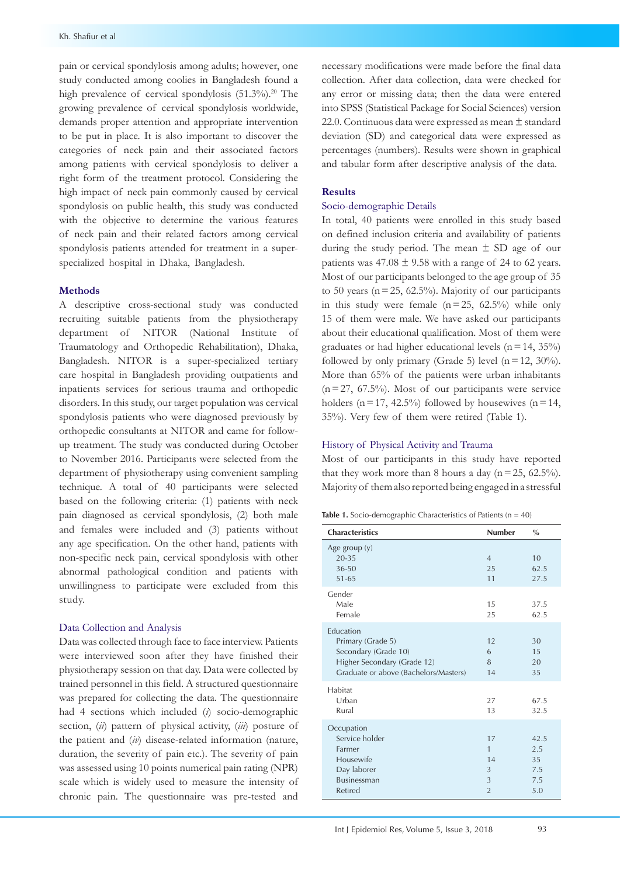pain or cervical spondylosis among adults; however, one study conducted among coolies in Bangladesh found a high prevalence of cervical spondylosis (51.3%).<sup>20</sup> The growing prevalence of cervical spondylosis worldwide, demands proper attention and appropriate intervention to be put in place. It is also important to discover the categories of neck pain and their associated factors among patients with cervical spondylosis to deliver a right form of the treatment protocol. Considering the high impact of neck pain commonly caused by cervical spondylosis on public health, this study was conducted with the objective to determine the various features of neck pain and their related factors among cervical spondylosis patients attended for treatment in a superspecialized hospital in Dhaka, Bangladesh.

### **Methods**

A descriptive cross-sectional study was conducted recruiting suitable patients from the physiotherapy department of NITOR (National Institute of Traumatology and Orthopedic Rehabilitation), Dhaka, Bangladesh. NITOR is a super-specialized tertiary care hospital in Bangladesh providing outpatients and inpatients services for serious trauma and orthopedic disorders. In this study, our target population was cervical spondylosis patients who were diagnosed previously by orthopedic consultants at NITOR and came for followup treatment. The study was conducted during October to November 2016. Participants were selected from the department of physiotherapy using convenient sampling technique. A total of 40 participants were selected based on the following criteria: (1) patients with neck pain diagnosed as cervical spondylosis, (2) both male and females were included and (3) patients without any age specification. On the other hand, patients with non-specific neck pain, cervical spondylosis with other abnormal pathological condition and patients with unwillingness to participate were excluded from this study.

#### Data Collection and Analysis

Data was collected through face to face interview. Patients were interviewed soon after they have finished their physiotherapy session on that day. Data were collected by trained personnel in this field. A structured questionnaire was prepared for collecting the data. The questionnaire had 4 sections which included (*i*) socio-demographic section, (*ii*) pattern of physical activity, (*iii*) posture of the patient and (*iv*) disease-related information (nature, duration, the severity of pain etc.). The severity of pain was assessed using 10 points numerical pain rating (NPR) scale which is widely used to measure the intensity of chronic pain. The questionnaire was pre-tested and

necessary modifications were made before the final data collection. After data collection, data were checked for any error or missing data; then the data were entered into SPSS (Statistical Package for Social Sciences) version 22.0. Continuous data were expressed as mean ± standard deviation (SD) and categorical data were expressed as percentages (numbers). Results were shown in graphical and tabular form after descriptive analysis of the data.

## **Results**

#### Socio-demographic Details

In total, 40 patients were enrolled in this study based on defined inclusion criteria and availability of patients during the study period. The mean  $\pm$  SD age of our patients was  $47.08 \pm 9.58$  with a range of 24 to 62 years. Most of our participants belonged to the age group of 35 to 50 years ( $n = 25$ , 62.5%). Majority of our participants in this study were female  $(n=25, 62.5%)$  while only 15 of them were male. We have asked our participants about their educational qualification. Most of them were graduates or had higher educational levels ( $n=14$ , 35%) followed by only primary (Grade 5) level  $(n=12, 30\%)$ . More than 65% of the patients were urban inhabitants  $(n=27, 67.5%)$ . Most of our participants were service holders ( $n=17$ , 42.5%) followed by housewives ( $n=14$ , 35%). Very few of them were retired (Table 1).

#### History of Physical Activity and Trauma

Most of our participants in this study have reported that they work more than 8 hours a day  $(n=25, 62.5\%)$ . Majority of them also reported being engaged in a stressful

|  |  |  |  | <b>Table 1.</b> Socio-demographic Characteristics of Patients ( $n = 40$ ) |
|--|--|--|--|----------------------------------------------------------------------------|
|--|--|--|--|----------------------------------------------------------------------------|

| <b>Characteristics</b>                                                                                                         | <b>Number</b>                             | $\frac{0}{0}$                          |
|--------------------------------------------------------------------------------------------------------------------------------|-------------------------------------------|----------------------------------------|
| Age group (y)<br>$20 - 35$<br>36-50<br>$51 - 65$                                                                               | $\overline{4}$<br>25<br>11                | 10<br>62.5<br>27.5                     |
| Gender<br>Male<br>Female                                                                                                       | 15<br>25                                  | 37.5<br>62.5                           |
| Education<br>Primary (Grade 5)<br>Secondary (Grade 10)<br>Higher Secondary (Grade 12)<br>Graduate or above (Bachelors/Masters) | 12<br>6<br>8<br>14                        | 30<br>15<br>20<br>35                   |
| Habitat<br>Urban<br>Rural                                                                                                      | 27<br>13                                  | 67.5<br>32.5                           |
| Occupation<br>Service holder<br>Farmer<br>Housewife<br>Day laborer<br><b>Businessman</b><br>Retired                            | 17<br>1<br>14<br>3<br>3<br>$\overline{2}$ | 42.5<br>2.5<br>35<br>7.5<br>7.5<br>5.0 |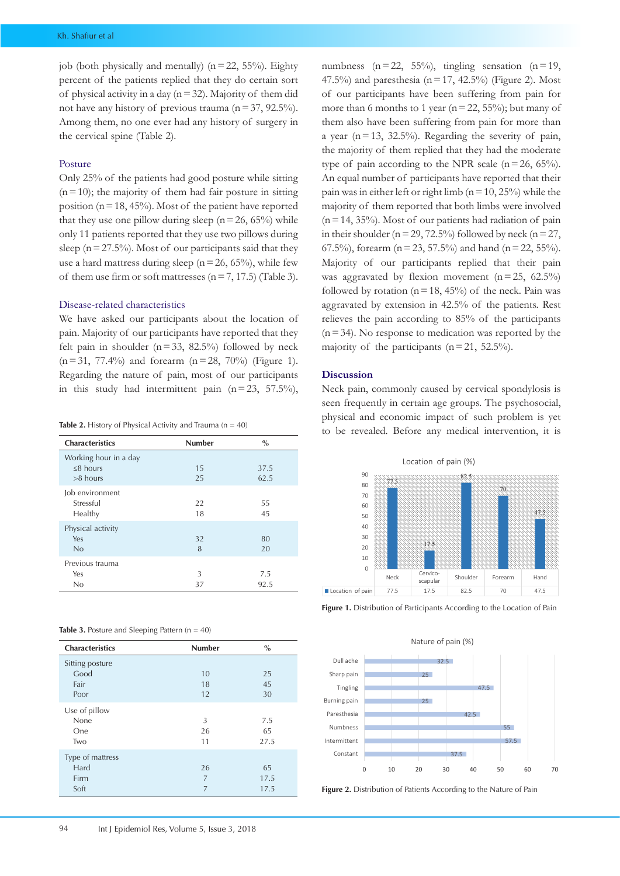job (both physically and mentally) ( $n=22$ , 55%). Eighty percent of the patients replied that they do certain sort of physical activity in a day  $(n=32)$ . Majority of them did not have any history of previous trauma ( $n=37$ , 92.5%). Among them, no one ever had any history of surgery in the cervical spine (Table 2).

#### Posture

Only 25% of the patients had good posture while sitting  $(n=10)$ ; the majority of them had fair posture in sitting position ( $n=18, 45\%$ ). Most of the patient have reported that they use one pillow during sleep ( $n=26$ , 65%) while only 11 patients reported that they use two pillows during sleep ( $n = 27.5\%$ ). Most of our participants said that they use a hard mattress during sleep ( $n=26$ , 65%), while few of them use firm or soft mattresses ( $n=7, 17.5$ ) (Table 3).

#### Disease-related characteristics

We have asked our participants about the location of pain. Majority of our participants have reported that they felt pain in shoulder  $(n=33, 82.5%)$  followed by neck  $(n=31, 77.4\%)$  and forearm  $(n=28, 70\%)$  (Figure 1). Regarding the nature of pain, most of our participants in this study had intermittent pain  $(n=23, 57.5\%),$ 

Table 2. History of Physical Activity and Trauma (n = 40)

| <b>Characteristics</b>                                | <b>Number</b> | $\frac{0}{0}$ |
|-------------------------------------------------------|---------------|---------------|
| Working hour in a day<br>$\leq$ 8 hours<br>$>8$ hours | 15<br>25      | 37.5<br>62.5  |
| Job environment<br>Stressful<br>Healthy               | 22<br>18      | 55<br>45      |
| Physical activity<br>Yes<br>No                        | 32<br>8       | 80<br>20      |
| Previous trauma<br>Yes<br>No                          | 3<br>37       | 7.5<br>92.5   |

|  | Table 3. Posture and Sleeping Pattern $(n = 40)$ |  |  |  |
|--|--------------------------------------------------|--|--|--|
|--|--------------------------------------------------|--|--|--|

| <b>Characteristics</b> | <b>Number</b> | $\frac{0}{0}$ |
|------------------------|---------------|---------------|
| Sitting posture        |               |               |
| Good                   | 10            | 25            |
| Fair                   | 18            | 45            |
| Poor                   | 12            | 30            |
| Use of pillow          |               |               |
| None                   | 3             | 7.5           |
| One                    | 26            | 65            |
| Two                    | 11            | 27.5          |
| Type of mattress       |               |               |
| Hard                   | 26            | 65            |
| Firm                   | 7             | 17.5          |
| Soft                   | 7             | 17.5          |

numbness  $(n=22, 55%)$ , tingling sensation  $(n=19, 59%)$ 47.5%) and paresthesia ( $n=17$ , 42.5%) (Figure 2). Most of our participants have been suffering from pain for more than 6 months to 1 year ( $n=22$ , 55%); but many of them also have been suffering from pain for more than a year ( $n=13$ , 32.5%). Regarding the severity of pain, the majority of them replied that they had the moderate type of pain according to the NPR scale  $(n=26, 65\%)$ . An equal number of participants have reported that their pain was in either left or right limb ( $n=10$ , 25%) while the majority of them reported that both limbs were involved  $(n=14, 35%)$ . Most of our patients had radiation of pain in their shoulder ( $n=29, 72.5%$ ) followed by neck ( $n=27$ , 67.5%), forearm ( $n = 23$ , 57.5%) and hand ( $n = 22$ , 55%). Majority of our participants replied that their pain was aggravated by flexion movement  $(n=25, 62.5%)$ followed by rotation ( $n=18$ , 45%) of the neck. Pain was aggravated by extension in 42.5% of the patients. Rest relieves the pain according to 85% of the participants  $(n=34)$ . No response to medication was reported by the majority of the participants  $(n=21, 52.5\%)$ .

#### **Discussion**

Neck pain, commonly caused by cervical spondylosis is seen frequently in certain age groups. The psychosocial, physical and economic impact of such problem is yet to be revealed. Before any medical intervention, it is



**Figure 1.** Distribution of Participants According to the Location of Pain



**Figure 2.** Distribution of Patients According to the Nature of Pain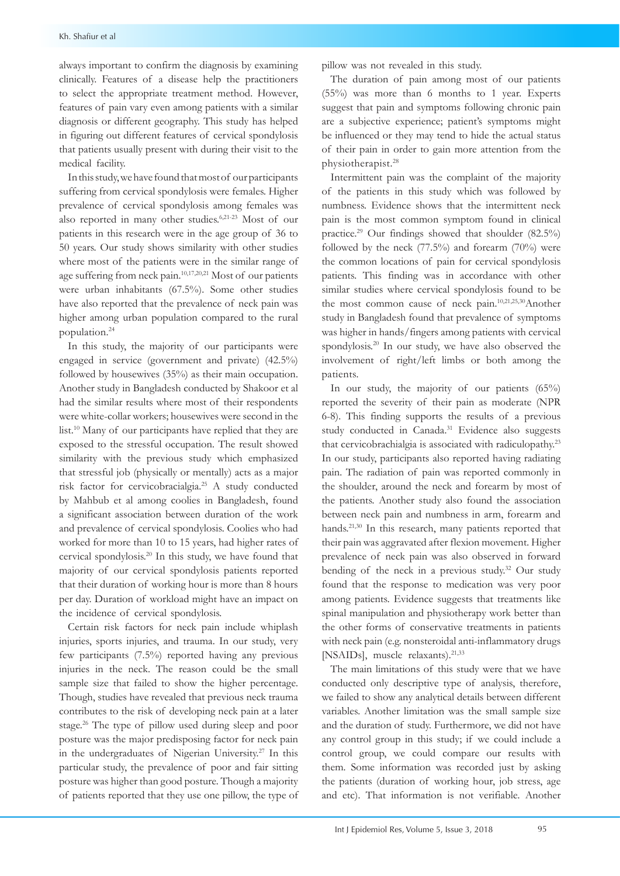always important to confirm the diagnosis by examining clinically. Features of a disease help the practitioners to select the appropriate treatment method. However, features of pain vary even among patients with a similar diagnosis or different geography. This study has helped in figuring out different features of cervical spondylosis that patients usually present with during their visit to the medical facility.

In this study, we have found that most of our participants suffering from cervical spondylosis were females. Higher prevalence of cervical spondylosis among females was also reported in many other studies.6,21-23 Most of our patients in this research were in the age group of 36 to 50 years. Our study shows similarity with other studies where most of the patients were in the similar range of age suffering from neck pain.10,17,20,21 Most of our patients were urban inhabitants (67.5%). Some other studies have also reported that the prevalence of neck pain was higher among urban population compared to the rural population.24

In this study, the majority of our participants were engaged in service (government and private) (42.5%) followed by housewives (35%) as their main occupation. Another study in Bangladesh conducted by Shakoor et al had the similar results where most of their respondents were white-collar workers; housewives were second in the list.<sup>10</sup> Many of our participants have replied that they are exposed to the stressful occupation. The result showed similarity with the previous study which emphasized that stressful job (physically or mentally) acts as a major risk factor for cervicobracialgia.25 A study conducted by Mahbub et al among coolies in Bangladesh, found a significant association between duration of the work and prevalence of cervical spondylosis. Coolies who had worked for more than 10 to 15 years, had higher rates of cervical spondylosis.20 In this study, we have found that majority of our cervical spondylosis patients reported that their duration of working hour is more than 8 hours per day. Duration of workload might have an impact on the incidence of cervical spondylosis.

Certain risk factors for neck pain include whiplash injuries, sports injuries, and trauma. In our study, very few participants (7.5%) reported having any previous injuries in the neck. The reason could be the small sample size that failed to show the higher percentage. Though, studies have revealed that previous neck trauma contributes to the risk of developing neck pain at a later stage.26 The type of pillow used during sleep and poor posture was the major predisposing factor for neck pain in the undergraduates of Nigerian University.<sup>27</sup> In this particular study, the prevalence of poor and fair sitting posture was higher than good posture. Though a majority of patients reported that they use one pillow, the type of pillow was not revealed in this study.

The duration of pain among most of our patients (55%) was more than 6 months to 1 year. Experts suggest that pain and symptoms following chronic pain are a subjective experience; patient's symptoms might be influenced or they may tend to hide the actual status of their pain in order to gain more attention from the physiotherapist.28

Intermittent pain was the complaint of the majority of the patients in this study which was followed by numbness. Evidence shows that the intermittent neck pain is the most common symptom found in clinical practice.29 Our findings showed that shoulder (82.5%) followed by the neck  $(77.5\%)$  and forearm  $(70\%)$  were the common locations of pain for cervical spondylosis patients. This finding was in accordance with other similar studies where cervical spondylosis found to be the most common cause of neck pain.10,21,25,30Another study in Bangladesh found that prevalence of symptoms was higher in hands/fingers among patients with cervical spondylosis.<sup>20</sup> In our study, we have also observed the involvement of right/left limbs or both among the patients.

In our study, the majority of our patients (65%) reported the severity of their pain as moderate (NPR 6-8). This finding supports the results of a previous study conducted in Canada.<sup>31</sup> Evidence also suggests that cervicobrachialgia is associated with radiculopathy.<sup>23</sup> In our study, participants also reported having radiating pain. The radiation of pain was reported commonly in the shoulder, around the neck and forearm by most of the patients. Another study also found the association between neck pain and numbness in arm, forearm and hands.<sup>21,30</sup> In this research, many patients reported that their pain was aggravated after flexion movement. Higher prevalence of neck pain was also observed in forward bending of the neck in a previous study.<sup>32</sup> Our study found that the response to medication was very poor among patients. Evidence suggests that treatments like spinal manipulation and physiotherapy work better than the other forms of conservative treatments in patients with neck pain (e.g. nonsteroidal anti-inflammatory drugs [NSAIDs], muscle relaxants).<sup>21,33</sup>

The main limitations of this study were that we have conducted only descriptive type of analysis, therefore, we failed to show any analytical details between different variables. Another limitation was the small sample size and the duration of study. Furthermore, we did not have any control group in this study; if we could include a control group, we could compare our results with them. Some information was recorded just by asking the patients (duration of working hour, job stress, age and etc). That information is not verifiable. Another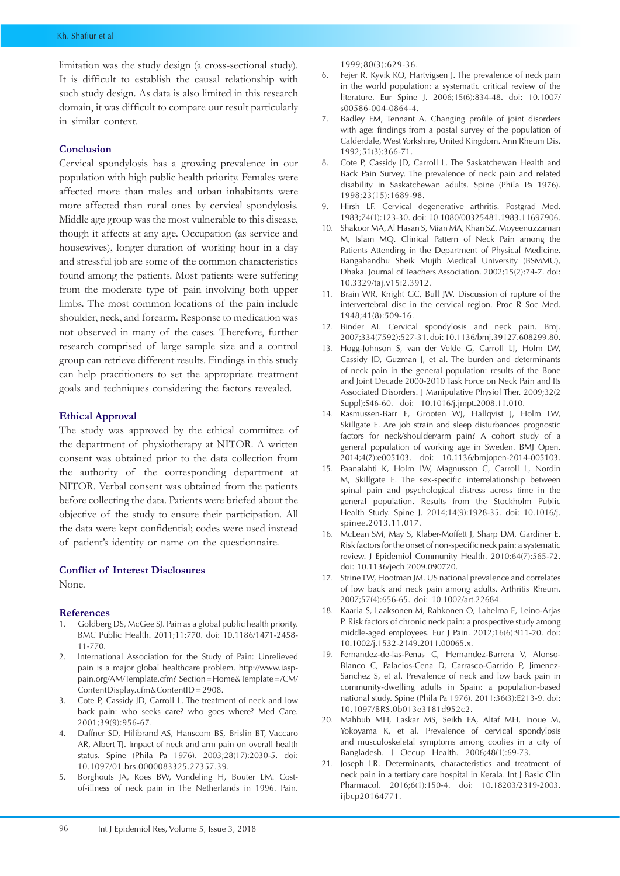limitation was the study design (a cross-sectional study). It is difficult to establish the causal relationship with such study design. As data is also limited in this research domain, it was difficult to compare our result particularly in similar context.

#### **Conclusion**

Cervical spondylosis has a growing prevalence in our population with high public health priority. Females were affected more than males and urban inhabitants were more affected than rural ones by cervical spondylosis. Middle age group was the most vulnerable to this disease, though it affects at any age. Occupation (as service and housewives), longer duration of working hour in a day and stressful job are some of the common characteristics found among the patients. Most patients were suffering from the moderate type of pain involving both upper limbs. The most common locations of the pain include shoulder, neck, and forearm. Response to medication was not observed in many of the cases. Therefore, further research comprised of large sample size and a control group can retrieve different results. Findings in this study can help practitioners to set the appropriate treatment goals and techniques considering the factors revealed.

#### **Ethical Approval**

The study was approved by the ethical committee of the department of physiotherapy at NITOR. A written consent was obtained prior to the data collection from the authority of the corresponding department at NITOR. Verbal consent was obtained from the patients before collecting the data. Patients were briefed about the objective of the study to ensure their participation. All the data were kept confidential; codes were used instead of patient's identity or name on the questionnaire.

#### **Conflict of Interest Disclosures**

None.

### **References**

- 1. Goldberg DS, McGee SJ. Pain as a global public health priority. BMC Public Health. 2011;11:770. doi: 10.1186/1471-2458- 11-770.
- 2. International Association for the Study of Pain: Unrelieved pain is a major global healthcare problem. [http://www.iasp](http://www.iasp-pain.org/AM/Template.cfm? Section=Home&Template=/CM/ContentDisplay.cfm&ContentID=290)[pain.org/AM/Template.cfm? Section=Home&Template=/CM/](http://www.iasp-pain.org/AM/Template.cfm? Section=Home&Template=/CM/ContentDisplay.cfm&ContentID=290) [ContentDisplay.cfm&ContentID](http://www.iasp-pain.org/AM/Template.cfm? Section=Home&Template=/CM/ContentDisplay.cfm&ContentID=290) = 2908.
- 3. Cote P, Cassidy JD, Carroll L. The treatment of neck and low back pain: who seeks care? who goes where? Med Care. 2001;39(9):956-67.
- 4. Daffner SD, Hilibrand AS, Hanscom BS, Brislin BT, Vaccaro AR, Albert TJ. Impact of neck and arm pain on overall health status. Spine (Phila Pa 1976). 2003;28(17):2030-5. doi: 10.1097/01.brs.0000083325.27357.39.
- 5. Borghouts JA, Koes BW, Vondeling H, Bouter LM. Costof-illness of neck pain in The Netherlands in 1996. Pain.

1999;80(3):629-36.

- 6. Fejer R, Kyvik KO, Hartvigsen J. The prevalence of neck pain in the world population: a systematic critical review of the literature. Eur Spine J. 2006;15(6):834-48. doi: 10.1007/ s00586-004-0864-4.
- 7. Badley EM, Tennant A. Changing profile of joint disorders with age: findings from a postal survey of the population of Calderdale, West Yorkshire, United Kingdom. Ann Rheum Dis. 1992;51(3):366-71.
- 8. Cote P, Cassidy JD, Carroll L. The Saskatchewan Health and Back Pain Survey. The prevalence of neck pain and related disability in Saskatchewan adults. Spine (Phila Pa 1976). 1998;23(15):1689-98.
- 9. Hirsh LF. Cervical degenerative arthritis. Postgrad Med. 1983;74(1):123-30. doi: 10.1080/00325481.1983.11697906.
- 10. Shakoor MA, Al Hasan S, Mian MA, Khan SZ, Moyeenuzzaman M, Islam MQ. Clinical Pattern of Neck Pain among the Patients Attending in the Department of Physical Medicine, Bangabandhu Sheik Mujib Medical University (BSMMU), Dhaka. Journal of Teachers Association. 2002;15(2):74-7. doi: 10.3329/taj.v15i2.3912.
- 11. Brain WR, Knight GC, Bull JW. Discussion of rupture of the intervertebral disc in the cervical region. Proc R Soc Med. 1948;41(8):509-16.
- 12. Binder AI. Cervical spondylosis and neck pain. Bmj. 2007;334(7592):527-31. doi: 10.1136/bmj.39127.608299.80.
- 13. Hogg-Johnson S, van der Velde G, Carroll LJ, Holm LW, Cassidy JD, Guzman J, et al. The burden and determinants of neck pain in the general population: results of the Bone and Joint Decade 2000-2010 Task Force on Neck Pain and Its Associated Disorders. J Manipulative Physiol Ther. 2009;32(2 Suppl):S46-60. doi: 10.1016/j.jmpt.2008.11.010.
- 14. Rasmussen-Barr E, Grooten WJ, Hallqvist J, Holm LW, Skillgate E. Are job strain and sleep disturbances prognostic factors for neck/shoulder/arm pain? A cohort study of a general population of working age in Sweden. BMJ Open. 2014;4(7):e005103. doi: 10.1136/bmjopen-2014-005103.
- 15. Paanalahti K, Holm LW, Magnusson C, Carroll L, Nordin M, Skillgate E. The sex-specific interrelationship between spinal pain and psychological distress across time in the general population. Results from the Stockholm Public Health Study. Spine J. 2014;14(9):1928-35. doi: 10.1016/j. spinee.2013.11.017.
- 16. McLean SM, May S, Klaber-Moffett J, Sharp DM, Gardiner E. Risk factors for the onset of non-specific neck pain: a systematic review. J Epidemiol Community Health. 2010;64(7):565-72. doi: 10.1136/jech.2009.090720.
- 17. Strine TW, Hootman JM. US national prevalence and correlates of low back and neck pain among adults. Arthritis Rheum. 2007;57(4):656-65. doi: 10.1002/art.22684.
- 18. Kaaria S, Laaksonen M, Rahkonen O, Lahelma E, Leino-Arjas P. Risk factors of chronic neck pain: a prospective study among middle-aged employees. Eur J Pain. 2012;16(6):911-20. doi: 10.1002/j.1532-2149.2011.00065.x.
- 19. Fernandez-de-las-Penas C, Hernandez-Barrera V, Alonso-Blanco C, Palacios-Cena D, Carrasco-Garrido P, Jimenez-Sanchez S, et al. Prevalence of neck and low back pain in community-dwelling adults in Spain: a population-based national study. Spine (Phila Pa 1976). 2011;36(3):E213-9. doi: 10.1097/BRS.0b013e3181d952c2.
- 20. Mahbub MH, Laskar MS, Seikh FA, Altaf MH, Inoue M, Yokoyama K, et al. Prevalence of cervical spondylosis and musculoskeletal symptoms among coolies in a city of Bangladesh. J Occup Health. 2006;48(1):69-73.
- 21. Joseph LR. Determinants, characteristics and treatment of neck pain in a tertiary care hospital in Kerala. Int J Basic Clin Pharmacol. 2016;6(1):150-4. doi: 10.18203/2319-2003. ijbcp20164771.